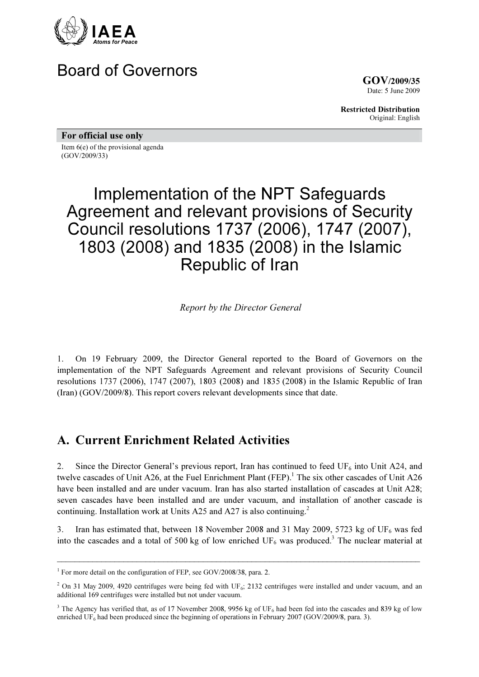

## Board of Governors

GOV/2009/35 Date: 5 June 2009

Restricted Distribution Original: English

For official use only

Item 6(e) of the provisional agenda (GOV/2009/33)

# Implementation of the NPT Safeguards Agreement and relevant provisions of Security Council resolutions 1737 (2006), 1747 (2007), 1803 (2008) and 1835 (2008) in the Islamic Republic of Iran

Report by the Director General

1. On 19 February 2009, the Director General reported to the Board of Governors on the implementation of the NPT Safeguards Agreement and relevant provisions of Security Council resolutions 1737 (2006), 1747 (2007), 1803 (2008) and 1835 (2008) in the Islamic Republic of Iran (Iran) (GOV/2009/8). This report covers relevant developments since that date.

## A. Current Enrichment Related Activities

2. Since the Director General's previous report, Iran has continued to feed  $UF_6$  into Unit A24, and twelve cascades of Unit A26, at the Fuel Enrichment Plant (FEP).<sup>1</sup> The six other cascades of Unit A26 have been installed and are under vacuum. Iran has also started installation of cascades at Unit A28; seven cascades have been installed and are under vacuum, and installation of another cascade is continuing. Installation work at Units A25 and A27 is also continuing.<sup>2</sup>

3. Iran has estimated that, between 18 November 2008 and 31 May 2009, 5723 kg of  $UF_6$  was fed into the cascades and a total of 500 kg of low enriched  $UF_6$  was produced.<sup>3</sup> The nuclear material at

\_\_\_\_\_\_\_\_\_\_\_\_\_\_\_\_\_\_\_\_\_\_\_\_\_\_\_\_\_\_\_\_\_\_\_\_\_\_\_\_\_\_\_\_\_\_\_\_\_\_\_\_\_\_\_\_\_\_\_\_\_\_\_\_\_\_\_\_\_\_\_\_\_\_\_\_\_\_\_\_\_\_

<sup>&</sup>lt;sup>1</sup> For more detail on the configuration of FEP, see GOV/2008/38, para. 2.

<sup>&</sup>lt;sup>2</sup> On 31 May 2009, 4920 centrifuges were being fed with UF<sub>6</sub>; 2132 centrifuges were installed and under vacuum, and an additional 169 centrifuges were installed but not under vacuum.

<sup>&</sup>lt;sup>3</sup> The Agency has verified that, as of 17 November 2008, 9956 kg of UF<sub>6</sub> had been fed into the cascades and 839 kg of low enriched UF<sub>6</sub> had been produced since the beginning of operations in February 2007 (GOV/2009/8, para. 3).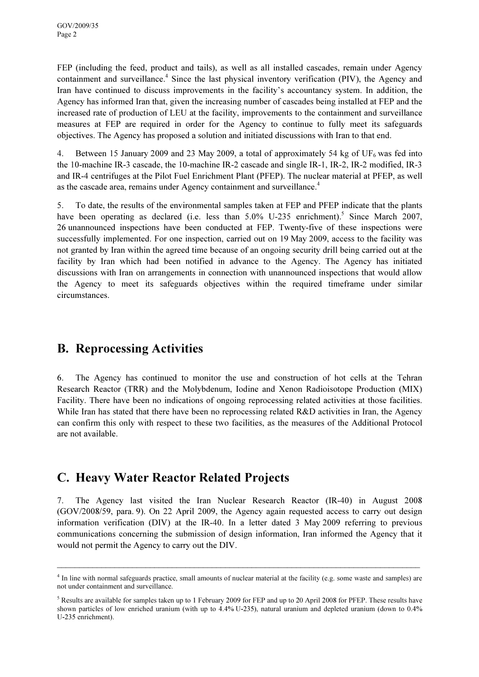FEP (including the feed, product and tails), as well as all installed cascades, remain under Agency containment and surveillance.<sup>4</sup> Since the last physical inventory verification (PIV), the Agency and Iran have continued to discuss improvements in the facility's accountancy system. In addition, the Agency has informed Iran that, given the increasing number of cascades being installed at FEP and the increased rate of production of LEU at the facility, improvements to the containment and surveillance measures at FEP are required in order for the Agency to continue to fully meet its safeguards objectives. The Agency has proposed a solution and initiated discussions with Iran to that end.

4. Between 15 January 2009 and 23 May 2009, a total of approximately 54 kg of  $UF_6$  was fed into the 10-machine IR-3 cascade, the 10-machine IR-2 cascade and single IR-1, IR-2, IR-2 modified, IR-3 and IR-4 centrifuges at the Pilot Fuel Enrichment Plant (PFEP). The nuclear material at PFEP, as well as the cascade area, remains under Agency containment and surveillance.<sup>4</sup>

5. To date, the results of the environmental samples taken at FEP and PFEP indicate that the plants have been operating as declared (i.e. less than  $5.0\%$  U-235 enrichment).<sup>5</sup> Since March 2007, 26 unannounced inspections have been conducted at FEP. Twenty-five of these inspections were successfully implemented. For one inspection, carried out on 19 May 2009, access to the facility was not granted by Iran within the agreed time because of an ongoing security drill being carried out at the facility by Iran which had been notified in advance to the Agency. The Agency has initiated discussions with Iran on arrangements in connection with unannounced inspections that would allow the Agency to meet its safeguards objectives within the required timeframe under similar circumstances.

## B. Reprocessing Activities

6. The Agency has continued to monitor the use and construction of hot cells at the Tehran Research Reactor (TRR) and the Molybdenum, Iodine and Xenon Radioisotope Production (MIX) Facility. There have been no indications of ongoing reprocessing related activities at those facilities. While Iran has stated that there have been no reprocessing related R&D activities in Iran, the Agency can confirm this only with respect to these two facilities, as the measures of the Additional Protocol are not available.

## C. Heavy Water Reactor Related Projects

7. The Agency last visited the Iran Nuclear Research Reactor (IR-40) in August 2008 (GOV/2008/59, para. 9). On 22 April 2009, the Agency again requested access to carry out design information verification (DIV) at the IR-40. In a letter dated 3 May 2009 referring to previous communications concerning the submission of design information, Iran informed the Agency that it would not permit the Agency to carry out the DIV.

 $\_$ 

<sup>&</sup>lt;sup>4</sup> In line with normal safeguards practice, small amounts of nuclear material at the facility (e.g. some waste and samples) are not under containment and surveillance.

 $<sup>5</sup>$  Results are available for samples taken up to 1 February 2009 for FEP and up to 20 April 2008 for PFEP. These results have</sup> shown particles of low enriched uranium (with up to 4.4% U-235), natural uranium and depleted uranium (down to 0.4% U-235 enrichment).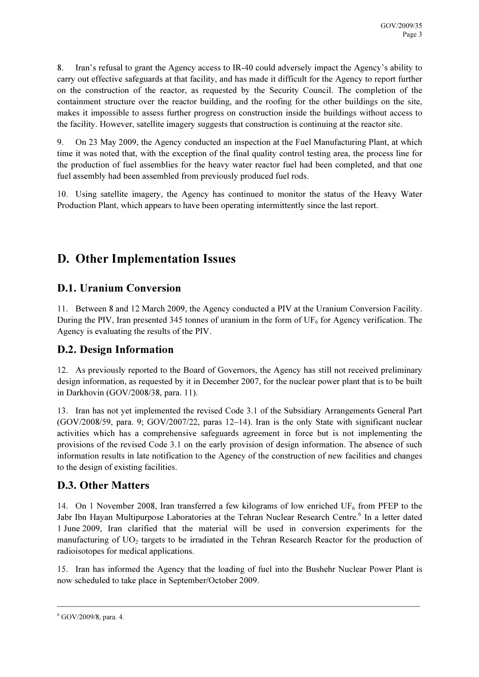8. Iran's refusal to grant the Agency access to IR-40 could adversely impact the Agency's ability to carry out effective safeguards at that facility, and has made it difficult for the Agency to report further on the construction of the reactor, as requested by the Security Council. The completion of the containment structure over the reactor building, and the roofing for the other buildings on the site, makes it impossible to assess further progress on construction inside the buildings without access to the facility. However, satellite imagery suggests that construction is continuing at the reactor site.

9. On 23 May 2009, the Agency conducted an inspection at the Fuel Manufacturing Plant, at which time it was noted that, with the exception of the final quality control testing area, the process line for the production of fuel assemblies for the heavy water reactor fuel had been completed, and that one fuel assembly had been assembled from previously produced fuel rods.

10. Using satellite imagery, the Agency has continued to monitor the status of the Heavy Water Production Plant, which appears to have been operating intermittently since the last report.

## D. Other Implementation Issues

#### D.1. Uranium Conversion

11. Between 8 and 12 March 2009, the Agency conducted a PIV at the Uranium Conversion Facility. During the PIV, Iran presented 345 tonnes of uranium in the form of  $UF<sub>6</sub>$  for Agency verification. The Agency is evaluating the results of the PIV.

#### D.2. Design Information

12. As previously reported to the Board of Governors, the Agency has still not received preliminary design information, as requested by it in December 2007, for the nuclear power plant that is to be built in Darkhovin (GOV/2008/38, para. 11).

13. Iran has not yet implemented the revised Code 3.1 of the Subsidiary Arrangements General Part (GOV/2008/59, para. 9; GOV/2007/22, paras 12–14). Iran is the only State with significant nuclear activities which has a comprehensive safeguards agreement in force but is not implementing the provisions of the revised Code 3.1 on the early provision of design information. The absence of such information results in late notification to the Agency of the construction of new facilities and changes to the design of existing facilities.

#### D.3. Other Matters

14. On 1 November 2008, Iran transferred a few kilograms of low enriched  $UF_6$  from PFEP to the Jabr Ibn Hayan Multipurpose Laboratories at the Tehran Nuclear Research Centre.<sup>6</sup> In a letter dated 1 June 2009, Iran clarified that the material will be used in conversion experiments for the manufacturing of  $UO<sub>2</sub>$  targets to be irradiated in the Tehran Research Reactor for the production of radioisotopes for medical applications.

15. Iran has informed the Agency that the loading of fuel into the Bushehr Nuclear Power Plant is now scheduled to take place in September/October 2009.

\_\_\_\_\_\_\_\_\_\_\_\_\_\_\_\_\_\_\_\_\_\_\_\_\_\_\_\_\_\_\_\_\_\_\_\_\_\_\_\_\_\_\_\_\_\_\_\_\_\_\_\_\_\_\_\_\_\_\_\_\_\_\_\_\_\_\_\_\_\_\_\_\_\_\_\_\_\_\_\_\_\_

<sup>6</sup> GOV/2009/8, para. 4.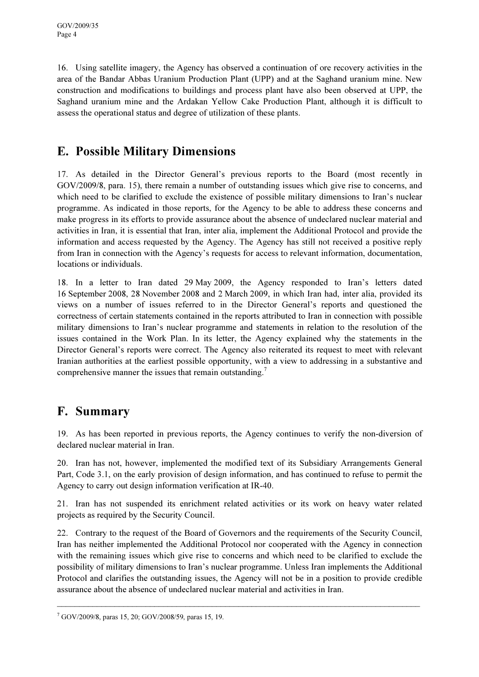16. Using satellite imagery, the Agency has observed a continuation of ore recovery activities in the area of the Bandar Abbas Uranium Production Plant (UPP) and at the Saghand uranium mine. New construction and modifications to buildings and process plant have also been observed at UPP, the Saghand uranium mine and the Ardakan Yellow Cake Production Plant, although it is difficult to assess the operational status and degree of utilization of these plants.

## E. Possible Military Dimensions

17. As detailed in the Director General's previous reports to the Board (most recently in GOV/2009/8, para. 15), there remain a number of outstanding issues which give rise to concerns, and which need to be clarified to exclude the existence of possible military dimensions to Iran's nuclear programme. As indicated in those reports, for the Agency to be able to address these concerns and make progress in its efforts to provide assurance about the absence of undeclared nuclear material and activities in Iran, it is essential that Iran, inter alia, implement the Additional Protocol and provide the information and access requested by the Agency. The Agency has still not received a positive reply from Iran in connection with the Agency's requests for access to relevant information, documentation, locations or individuals.

18. In a letter to Iran dated 29 May 2009, the Agency responded to Iran's letters dated 16 September 2008, 28 November 2008 and 2 March 2009, in which Iran had, inter alia, provided its views on a number of issues referred to in the Director General's reports and questioned the correctness of certain statements contained in the reports attributed to Iran in connection with possible military dimensions to Iran's nuclear programme and statements in relation to the resolution of the issues contained in the Work Plan. In its letter, the Agency explained why the statements in the Director General's reports were correct. The Agency also reiterated its request to meet with relevant Iranian authorities at the earliest possible opportunity, with a view to addressing in a substantive and comprehensive manner the issues that remain outstanding.<sup>7</sup>

## F. Summary

19. As has been reported in previous reports, the Agency continues to verify the non-diversion of declared nuclear material in Iran.

20. Iran has not, however, implemented the modified text of its Subsidiary Arrangements General Part, Code 3.1, on the early provision of design information, and has continued to refuse to permit the Agency to carry out design information verification at IR-40.

21. Iran has not suspended its enrichment related activities or its work on heavy water related projects as required by the Security Council.

22. Contrary to the request of the Board of Governors and the requirements of the Security Council, Iran has neither implemented the Additional Protocol nor cooperated with the Agency in connection with the remaining issues which give rise to concerns and which need to be clarified to exclude the possibility of military dimensions to Iran's nuclear programme. Unless Iran implements the Additional Protocol and clarifies the outstanding issues, the Agency will not be in a position to provide credible assurance about the absence of undeclared nuclear material and activities in Iran.

\_\_\_\_\_\_\_\_\_\_\_\_\_\_\_\_\_\_\_\_\_\_\_\_\_\_\_\_\_\_\_\_\_\_\_\_\_\_\_\_\_\_\_\_\_\_\_\_\_\_\_\_\_\_\_\_\_\_\_\_\_\_\_\_\_\_\_\_\_\_\_\_\_\_\_\_\_\_\_\_\_\_

<sup>7</sup> GOV/2009/8, paras 15, 20; GOV/2008/59, paras 15, 19.